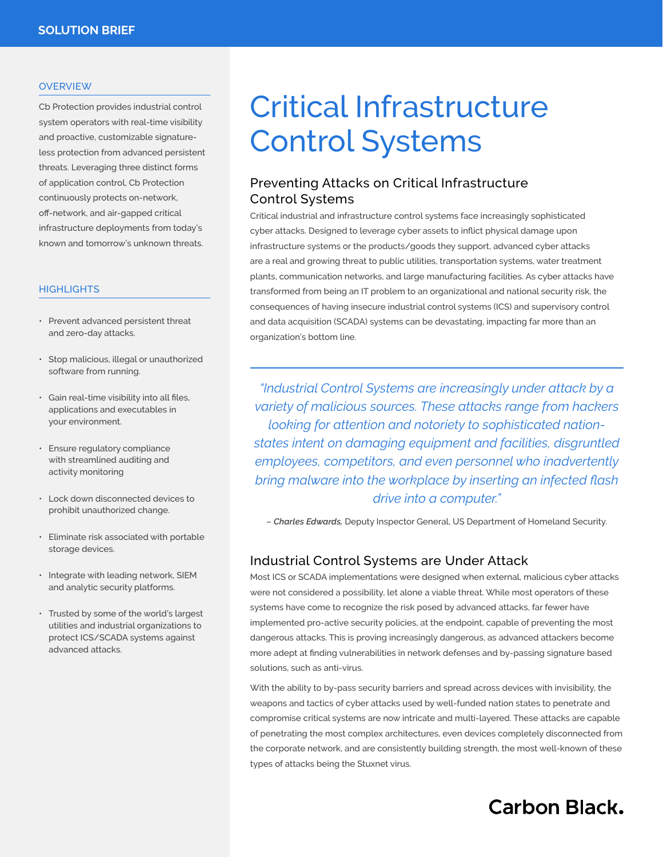#### **OVERVIEW**

Cb Protection provides industrial control system operators with real-time visibility and proactive, customizable signatureless protection from advanced persistent threats. Leveraging three distinct forms of application control, Cb Protection continuously protects on-network, off-network, and air-gapped critical infrastructure deployments from today's known and tomorrow's unknown threats.

#### **HIGHLIGHTS**

- Prevent advanced persistent threat and zero-day attacks.
- Stop malicious, illegal or unauthorized software from running.
- Gain real-time visibility into all files, applications and executables in your environment.
- Ensure regulatory compliance with streamlined auditing and activity monitoring
- Lock down disconnected devices to prohibit unauthorized change.
- Eliminate risk associated with portable storage devices.
- Integrate with leading network, SIEM and analytic security platforms.
- Trusted by some of the world's largest utilities and industrial organizations to protect ICS/SCADA systems against advanced attacks.

# Critical Infrastructure Control Systems

#### Preventing Attacks on Critical Infrastructure Control Systems

Critical industrial and infrastructure control systems face increasingly sophisticated cyber attacks. Designed to leverage cyber assets to inflict physical damage upon infrastructure systems or the products/goods they support, advanced cyber attacks are a real and growing threat to public utilities, transportation systems, water treatment plants, communication networks, and large manufacturing facilities. As cyber attacks have transformed from being an IT problem to an organizational and national security risk, the consequences of having insecure industrial control systems (ICS) and supervisory control and data acquisition (SCADA) systems can be devastating, impacting far more than an organization's bottom line.

*"Industrial Control Systems are increasingly under attack by a variety of malicious sources. These attacks range from hackers looking for attention and notoriety to sophisticated nationstates intent on damaging equipment and facilities, disgruntled employees, competitors, and even personnel who inadvertently bring malware into the workplace by inserting an infected flash drive into a computer."* 

– *Charles Edwards,* Deputy Inspector General, US Department of Homeland Security.

#### Industrial Control Systems are Under Attack

Most ICS or SCADA implementations were designed when external, malicious cyber attacks were not considered a possibility, let alone a viable threat. While most operators of these systems have come to recognize the risk posed by advanced attacks, far fewer have implemented pro-active security policies, at the endpoint, capable of preventing the most dangerous attacks. This is proving increasingly dangerous, as advanced attackers become more adept at finding vulnerabilities in network defenses and by-passing signature based solutions, such as anti-virus.

With the ability to by-pass security barriers and spread across devices with invisibility, the weapons and tactics of cyber attacks used by well-funded nation states to penetrate and compromise critical systems are now intricate and multi-layered. These attacks are capable of penetrating the most complex architectures, even devices completely disconnected from the corporate network, and are consistently building strength, the most well-known of these types of attacks being the Stuxnet virus.

## **Carbon Black.**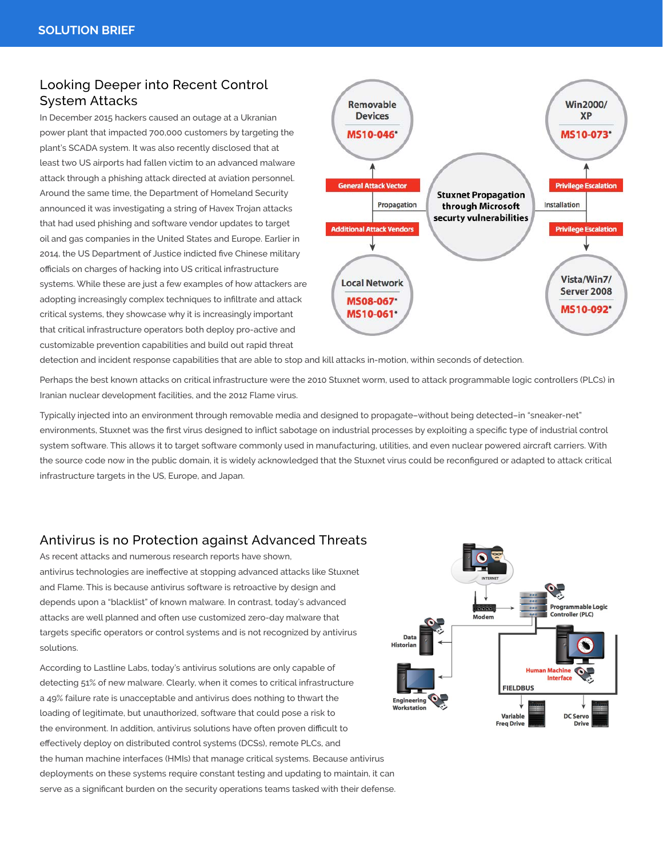#### Looking Deeper into Recent Control System Attacks

In December 2015 hackers caused an outage at a Ukranian power plant that impacted 700,000 customers by targeting the plant's SCADA system. It was also recently disclosed that at least two US airports had fallen victim to an advanced malware attack through a phishing attack directed at aviation personnel. Around the same time, the Department of Homeland Security announced it was investigating a string of Havex Trojan attacks that had used phishing and software vendor updates to target oil and gas companies in the United States and Europe. Earlier in 2014, the US Department of Justice indicted five Chinese military officials on charges of hacking into US critical infrastructure systems. While these are just a few examples of how attackers are adopting increasingly complex techniques to infiltrate and attack critical systems, they showcase why it is increasingly important that critical infrastructure operators both deploy pro-active and customizable prevention capabilities and build out rapid threat



detection and incident response capabilities that are able to stop and kill attacks in-motion, within seconds of detection.

Perhaps the best known attacks on critical infrastructure were the 2010 Stuxnet worm, used to attack programmable logic controllers (PLCs) in Iranian nuclear development facilities, and the 2012 Flame virus.

Typically injected into an environment through removable media and designed to propagate–without being detected–in "sneaker-net" environments, Stuxnet was the first virus designed to inflict sabotage on industrial processes by exploiting a specific type of industrial control system software. This allows it to target software commonly used in manufacturing, utilities, and even nuclear powered aircraft carriers. With the source code now in the public domain, it is widely acknowledged that the Stuxnet virus could be reconfigured or adapted to attack critical infrastructure targets in the US, Europe, and Japan.

#### Antivirus is no Protection against Advanced Threats

As recent attacks and numerous research reports have shown, antivirus technologies are ineffective at stopping advanced attacks like Stuxnet and Flame. This is because antivirus software is retroactive by design and depends upon a "blacklist" of known malware. In contrast, today's advanced attacks are well planned and often use customized zero-day malware that targets specific operators or control systems and is not recognized by antivirus solutions.

According to Lastline Labs, today's antivirus solutions are only capable of detecting 51% of new malware. Clearly, when it comes to critical infrastructure a 49% failure rate is unacceptable and antivirus does nothing to thwart the loading of legitimate, but unauthorized, software that could pose a risk to the environment. In addition, antivirus solutions have often proven difficult to effectively deploy on distributed control systems (DCSs), remote PLCs, and the human machine interfaces (HMIs) that manage critical systems. Because antivirus deployments on these systems require constant testing and updating to maintain, it can serve as a significant burden on the security operations teams tasked with their defense.